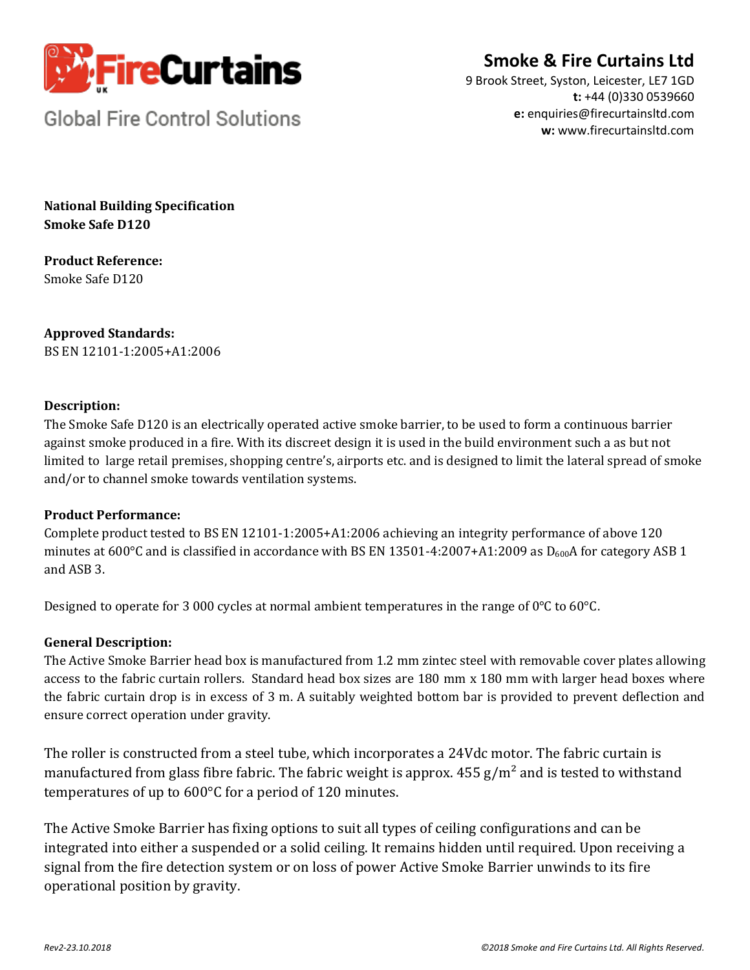

# **Smoke & Fire Curtains Ltd**

9 Brook Street, Syston, Leicester, LE7 1GD **t:** +44 (0)330 0539660 **e:** enquiries@firecurtainsltd.com **w:** [www.firecurtainsltd.com](http://www.firecurtainsltd.com/)

**Global Fire Control Solutions** 

**National Building Specification Smoke Safe D120**

**Product Reference:** Smoke Safe D120

**Approved Standards:** BS EN 12101-1:2005+A1:2006

## **Description:**

The Smoke Safe D120 is an electrically operated active smoke barrier, to be used to form a continuous barrier against smoke produced in a fire. With its discreet design it is used in the build environment such a as but not limited to large retail premises, shopping centre's, airports etc. and is designed to limit the lateral spread of smoke and/or to channel smoke towards ventilation systems.

## **Product Performance:**

Complete product tested to BS EN 12101-1:2005+A1:2006 achieving an integrity performance of above 120 minutes at 600°C and is classified in accordance with BS EN 13501-4:2007+A1:2009 as D<sub>600</sub>A for category ASB 1 and ASB 3.

Designed to operate for 3 000 cycles at normal ambient temperatures in the range of 0°C to 60°C.

## **General Description:**

The Active Smoke Barrier head box is manufactured from 1.2 mm zintec steel with removable cover plates allowing access to the fabric curtain rollers. Standard head box sizes are 180 mm x 180 mm with larger head boxes where the fabric curtain drop is in excess of 3 m. A suitably weighted bottom bar is provided to prevent deflection and ensure correct operation under gravity.

The roller is constructed from a steel tube, which incorporates a 24Vdc motor. The fabric curtain is manufactured from glass fibre fabric. The fabric weight is approx.  $455$  g/m<sup>2</sup> and is tested to withstand temperatures of up to 600°C for a period of 120 minutes.

The Active Smoke Barrier has fixing options to suit all types of ceiling configurations and can be integrated into either a suspended or a solid ceiling. It remains hidden until required. Upon receiving a signal from the fire detection system or on loss of power Active Smoke Barrier unwinds to its fire operational position by gravity.